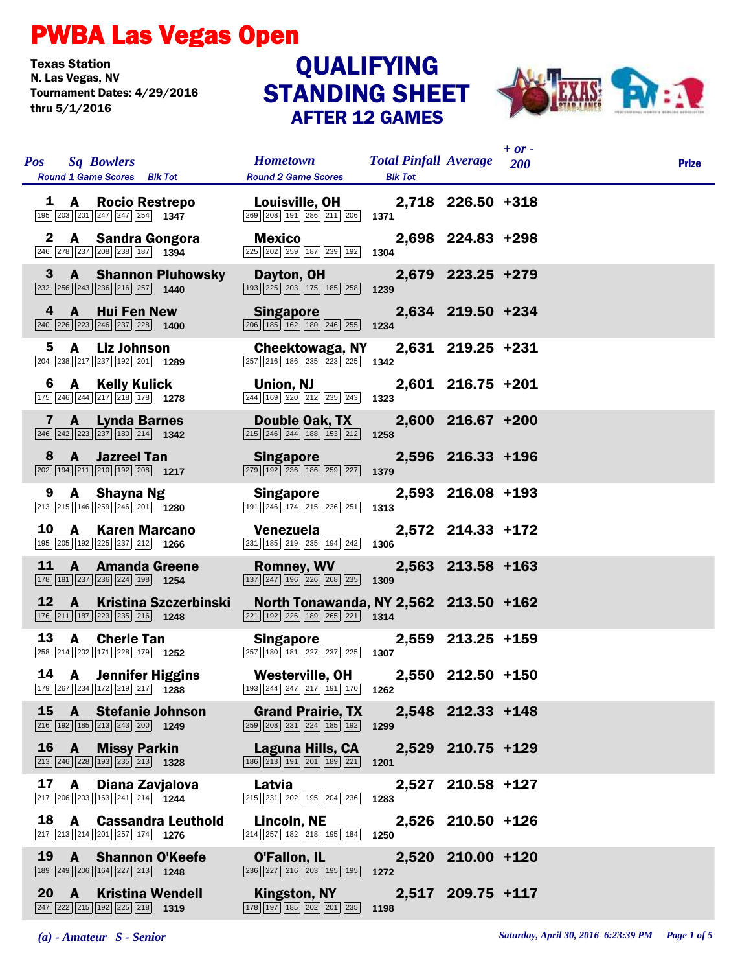## PWBA Las Vegas Open

**Texas Station<br>N. Las Vegas, NV** Tournament Dates: 4/29/2016 thru 5/1/2016

## STANDING SHEET AFTER 12 GAMES **QUALIFYING**



| <b>Pos</b>     | <b>Sq Bowlers</b><br><b>Round 1 Game Scores</b> Blk Tot                                                                       | <b>Hometown</b><br><b>Round 2 Game Scores</b>                                                            | <b>Total Pinfall Average</b> 200<br><b>Blk Tot</b> |                   | $+ or -$ | <b>Prize</b> |
|----------------|-------------------------------------------------------------------------------------------------------------------------------|----------------------------------------------------------------------------------------------------------|----------------------------------------------------|-------------------|----------|--------------|
|                | 1 A Rocio Restrepo<br>195 203 201 247 247 254 1347                                                                            | <b>Louisville, OH</b><br>269 208 191 286 211 206                                                         | 1371                                               | 2,718 226.50 +318 |          |              |
| $\mathbf{2}$   | A Sandra Gongora<br>$\boxed{246}\boxed{278}\boxed{237}\boxed{208}\boxed{238}\boxed{187}$ 1394                                 | <b>Mexico</b><br>225 202 259 187 239 192                                                                 | 1304                                               | 2,698 224.83 +298 |          |              |
| 3              | <b>A</b> Shannon Pluhowsky<br>$\boxed{232}$ $\boxed{256}$ $\boxed{243}$ $\boxed{236}$ $\boxed{216}$ $\boxed{257}$ <b>1440</b> | Dayton, OH<br>$\boxed{193}\boxed{225}\boxed{203}\boxed{175}\boxed{185}\boxed{258}$ 1239                  |                                                    | 2,679 223.25 +279 |          |              |
| 4              | A Hui Fen New<br>$\boxed{240}$ $\boxed{226}$ $\boxed{223}$ $\boxed{246}$ $\boxed{237}$ $\boxed{228}$ <b>1400</b>              | <b>Singapore</b><br>$\boxed{206}$ $\boxed{185}$ $\boxed{162}$ $\boxed{180}$ $\boxed{246}$ $\boxed{255}$  | 1234                                               | 2,634 219.50 +234 |          |              |
| 5              | A<br>Liz Johnson<br>204 238 217 237 192 201 1289                                                                              | Cheektowaga, NY<br>257 216 186 235 223 225 1342                                                          |                                                    | 2,631 219.25 +231 |          |              |
| 6              | <b>A</b> Kelly Kulick<br>175 246 244 217 218 178 1278                                                                         | Union, NJ<br>244 169 220 212 235 243                                                                     | 1323                                               | 2,601 216.75 +201 |          |              |
| $\mathbf{7}$   | <b>A</b> Lynda Barnes<br>$\boxed{246}\boxed{242}\boxed{223}\boxed{237}\boxed{180}\boxed{214}$ 1342                            | Double Oak, TX<br>$\boxed{215}$ $\boxed{246}$ $\boxed{244}$ $\boxed{188}$ $\boxed{153}$ $\boxed{212}$    | 1258                                               | 2,600 216.67 +200 |          |              |
| 8              | <b>A</b> Jazreel Tan<br>202 194 211 210 192 208 1217                                                                          | <b>Singapore</b><br>279 192 236 186 259 227                                                              | 1379                                               | 2,596 216.33 +196 |          |              |
| 9              | A Shayna Ng<br>$\boxed{213}\boxed{215}\boxed{146}\boxed{259}\boxed{246}\boxed{201}$ 1280                                      | Singapore<br>$\boxed{191}$ $\boxed{246}$ $\boxed{174}$ $\boxed{215}$ $\boxed{236}$ $\boxed{251}$         | 1313                                               | 2,593 216.08 +193 |          |              |
| 10             | <b>A</b> Karen Marcano<br>195 205 192 225 237 212 1266                                                                        | Venezuela<br>231 185 219 235 194 242                                                                     | 1306                                               | 2,572 214.33 +172 |          |              |
| 11             | $\mathbf{A}$<br><b>Amanda Greene</b><br>178 181 237 236 224 198 1254                                                          | <b>Romney, WV</b><br>$\boxed{137}$ $\boxed{247}$ $\boxed{196}$ $\boxed{226}$ $\boxed{268}$ $\boxed{235}$ | 1309                                               | 2,563 213.58 +163 |          |              |
| 12             | <b>Kristina Szczerbinski</b><br>$\mathbf{A}$<br>176 211 187 223 235 216 1248                                                  | North Tonawanda, NY 2,562 213.50 +162<br>$\boxed{221}$ 192 $\boxed{226}$ 189 $\boxed{265}$ 221 1314      |                                                    |                   |          |              |
| 13             | A<br><b>Cherie Tan</b><br>258 214 202 171 228 179 1252                                                                        | Singapore<br>257 180 181 227 237 225 1307                                                                |                                                    | 2,559 213.25 +159 |          |              |
| 14             | <b>A</b> Jennifer Higgins<br>179 267 234 172 219 217 1288                                                                     | <b>Westerville, OH</b><br>193 244 247 217 191 170                                                        | 1262                                               | 2,550 212.50 +150 |          |              |
| 15             | <b>Stefanie Johnson</b><br>$\mathbf{A}$<br>216 192 185 213 243 200 1249                                                       | <b>Grand Prairie, TX</b><br>259 208 231 224 185 192                                                      | 1299                                               | 2,548 212.33 +148 |          |              |
|                | 16 A Missy Parkin<br>213 246 228 193 235 213 1328                                                                             | Laguna Hills, CA<br>186 213 191 201 189 221                                                              | 1201                                               | 2,529 210.75 +129 |          |              |
| 17             | A<br>Diana Zavjalova<br>217 206 203 163 241 214 1244                                                                          | Latvia<br>215 231 202 195 204 236                                                                        | 2,527<br>1283                                      | $210.58 + 127$    |          |              |
| 18             | <b>Cassandra Leuthold</b><br><b>A</b><br>217 213 214 201 257 174 1276                                                         | Lincoln, NE<br>214 257 182 218 195 184                                                                   | 1250                                               | 2,526 210.50 +126 |          |              |
| 19             | <b>Shannon O'Keefe</b><br>$\mathbf{A}$<br>189 249 206 164 227 213 1248                                                        | <b>O'Fallon, IL</b><br>236 227 216 203 195 195                                                           | 2,520<br>1272                                      | $210.00 + 120$    |          |              |
| $20 \text{ A}$ | <b>Kristina Wendell</b><br>$\boxed{247}$ $\boxed{222}$ $\boxed{215}$ $\boxed{192}$ $\boxed{225}$ $\boxed{218}$ <b>1319</b>    | Kingston, NY<br>178 197 185 202 201 235                                                                  | 1198                                               | 2,517 209.75 +117 |          |              |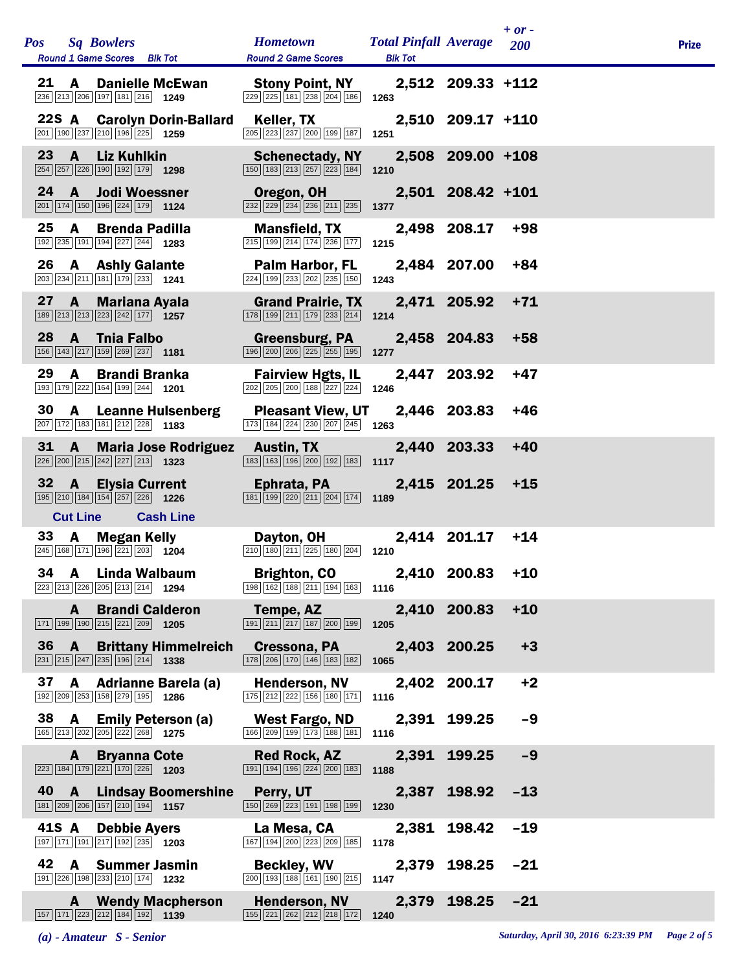|                 | Pos Sq Bowlers<br>Round 1 Game Scores Blk Tot                                                                                              | <b>Hometown</b><br><b>Round 2 Game Scores</b>                                                                        | <b>Total Pinfall Average</b><br><b>Blk Tot</b> |                   | $+ or -$<br><b>200</b> | <b>Prize</b> |
|-----------------|--------------------------------------------------------------------------------------------------------------------------------------------|----------------------------------------------------------------------------------------------------------------------|------------------------------------------------|-------------------|------------------------|--------------|
| 21              | <b>Danielle McEwan</b><br>A<br>236 213 206 197 181 216 1249                                                                                | <b>Stony Point, NY</b><br>$\overline{229}$ $\overline{225}$ 181 $\overline{238}$ $\overline{204}$ 186 1263           |                                                | 2,512 209.33 +112 |                        |              |
|                 | 22S A Carolyn Dorin-Ballard<br>201 190 237 210 196 225 1259                                                                                | Keller, TX<br>205 223 237 200 199 187                                                                                | 1251                                           | 2,510 209.17 +110 |                        |              |
| 23              | $\mathbf{A}$<br><b>Liz Kuhlkin</b><br>254 257 226 190 192 179 1298                                                                         | <b>Schenectady, NY</b><br>$\boxed{150}$ $\boxed{183}$ $\boxed{213}$ $\boxed{257}$ $\boxed{223}$ $\boxed{184}$        | 1210                                           | 2,508 209.00 +108 |                        |              |
|                 | 24 A Jodi Woessner<br>$\boxed{201}$ 174 150 196 224 179 1124                                                                               | Oregon, OH<br>$\boxed{232}\boxed{229}\boxed{234}\boxed{236}\boxed{211}\boxed{235}$                                   | 1377                                           | 2,501 208.42 +101 |                        |              |
| 25              | A<br><b>Brenda Padilla</b><br>192 235 191 194 227 244 1283                                                                                 | <b>Mansfield, TX</b><br>215 199 214 174 236 177                                                                      | 1215                                           | 2,498 208.17      | +98                    |              |
| 26              | <b>A</b> Ashly Galante<br>203 234 211 181 179 233 1241                                                                                     | Palm Harbor, FL<br>224 199 233 202 235 150                                                                           | 1243                                           | 2,484 207.00      | +84                    |              |
| 27              | $\overline{A}$<br><b>Mariana Ayala</b><br>189 213 213 223 242 177 1257                                                                     | <b>Grand Prairie, TX</b><br>$\boxed{178}$ $\boxed{199}$ $\boxed{211}$ $\boxed{179}$ $\boxed{233}$ $\boxed{214}$ 1214 |                                                | 2,471 205.92      | $+71$                  |              |
| 28              | $\mathbf{A}$<br><b>Thia Falbo</b><br>156 143 217 159 269 237 1181                                                                          | Greensburg, PA<br>$\boxed{196}\boxed{200}\boxed{206}\boxed{225}\boxed{255}\boxed{195}$                               | 1277                                           | 2,458 204.83      | $+58$                  |              |
| 29              | A<br><b>Brandi Branka</b><br>193 179 222 164 199 244 1201                                                                                  | <b>Fairview Hgts, IL</b><br>$\boxed{202}\boxed{205}\boxed{200}\boxed{188}\boxed{227}\boxed{224}$ 1246                |                                                | 2,447 203.92      | $+47$                  |              |
| 30              | <b>A</b> Leanne Hulsenberg<br>$\boxed{207}$ 172 183 181 212 228 1183                                                                       | <b>Pleasant View, UT</b><br>173 184 224 230 207 245 1263                                                             |                                                | 2,446 203.83      | $+46$                  |              |
| 31              | <b>A</b><br><b>Maria Jose Rodriguez</b><br>$\boxed{226}$ $\boxed{200}$ $\boxed{215}$ $\boxed{242}$ $\boxed{227}$ $\boxed{213}$ <b>1323</b> | Austin, TX<br>$\boxed{183}$ $\boxed{163}$ $\boxed{196}$ $\boxed{200}$ $\boxed{192}$ $\boxed{183}$ 1117               |                                                | 2,440 203.33      | $+40$                  |              |
| 32 <sub>2</sub> | $\mathbf{A}$<br><b>Elysia Current</b><br>195 210 184 154 257 226 1226                                                                      | Ephrata, PA<br>$\boxed{181}$ $\boxed{199}$ $\boxed{220}$ $\boxed{211}$ $\boxed{204}$ $\boxed{174}$ <b>1189</b>       |                                                | 2,415 201.25      | $+15$                  |              |
|                 | <b>Cut Line</b><br><b>Cash Line</b>                                                                                                        |                                                                                                                      |                                                |                   |                        |              |
|                 | 33 A Megan Kelly<br>245 168 171 196 221 203 1204                                                                                           | Dayton, OH<br>$\boxed{210}$ 180 $\boxed{211}$ $\boxed{225}$ 180 $\boxed{204}$ 1210                                   |                                                | 2,414 201.17      | $+14$                  |              |
|                 | 34 A Linda Walbaum<br>223 213 226 205 213 214 1294                                                                                         | <b>Brighton, CO</b><br>198 162 188 211 194 163 1116                                                                  |                                                | 2,410 200.83 +10  |                        |              |
|                 | <b>Brandi Calderon</b><br>$\mathbf{A}$<br>$\boxed{171}$ $\boxed{199}$ $\boxed{190}$ $\boxed{215}$ $\boxed{221}$ $\boxed{209}$ <b>1205</b>  | Tempe, AZ<br>$\boxed{191}\boxed{211}\boxed{217}\boxed{187}\boxed{200}\boxed{199}$                                    | 1205                                           | 2,410 200.83      | $+10$                  |              |
|                 | 36 A<br><b>Brittany Himmelreich</b><br>231 215 247 235 196 214 1338                                                                        | Cressona, PA<br>$\boxed{178}$ $\boxed{206}$ $\boxed{170}$ $\boxed{146}$ $\boxed{183}$ $\boxed{182}$                  | 1065                                           | 2,403 200.25      | $+3$                   |              |
| 37              | A Adrianne Barela (a)<br>192 209 253 158 279 195 1286                                                                                      | <b>Henderson, NV</b><br>175 212 222 156 180 171                                                                      | 1116                                           | 2,402 200.17      | $+2$                   |              |
|                 | 38 A<br><b>Emily Peterson (a)</b><br>$\boxed{165}\boxed{213}\boxed{202}\boxed{205}\boxed{222}\boxed{268}$ 1275                             | West Fargo, ND<br>166 209 199 173 188 181                                                                            | 1116                                           | 2,391 199.25      | $-9$                   |              |
|                 | <b>Bryanna Cote</b><br>A —<br>$\boxed{223}$ 184 179 221 170 226 1203                                                                       | <b>Red Rock, AZ</b><br>191 194 196 224 200 183                                                                       | 1188                                           | 2,391 199.25      | $-9$                   |              |
|                 | 40 A<br><b>Lindsay Boomershine</b><br>181 209 206 157 210 194 1157                                                                         | Perry, UT<br>150 269 223 191 198 199                                                                                 | 1230                                           | 2,387 198.92      | $-13$                  |              |
|                 | 41S A Debbie Ayers<br>197 171 191 217 192 235 1203                                                                                         | La Mesa, CA<br>167 194 200 223 209 185                                                                               | 1178                                           | 2,381 198.42      | $-19$                  |              |
| 42              | A Summer Jasmin<br>191 226 198 233 210 174 1232                                                                                            | <b>Beckley, WV</b><br>$\boxed{200}$ $\boxed{193}$ $\boxed{188}$ $\boxed{161}$ $\boxed{190}$ $\boxed{215}$            | 1147                                           | 2,379 198.25      | $-21$                  |              |
|                 | <b>A</b> Wendy Macpherson<br>$\boxed{157}$ $\boxed{171}$ $\boxed{223}$ $\boxed{212}$ $\boxed{184}$ $\boxed{192}$ <b>1139</b>               | <b>Henderson, NV</b><br>$\boxed{155}$ $\boxed{221}$ $\boxed{262}$ $\boxed{212}$ $\boxed{218}$ $\boxed{172}$          | 1240                                           | 2,379 198.25 -21  |                        |              |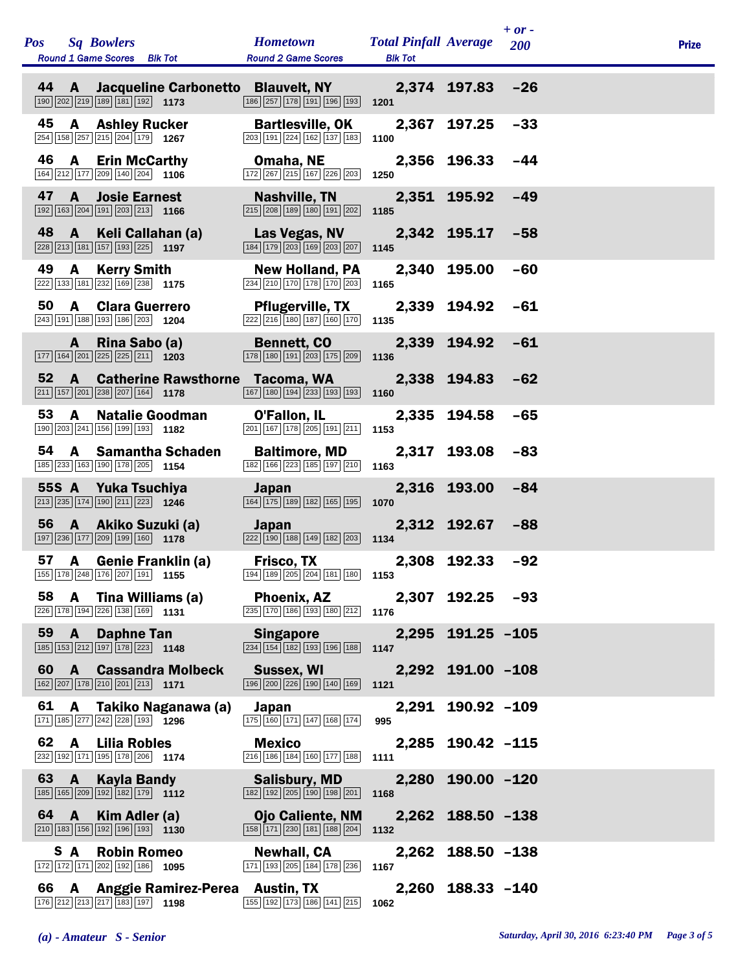|    |              | Pos Sq Bowlers<br><b>Round 1 Game Scores</b> Blk Tot                                                                     |                                 | <b>Hometown</b><br><b>Round 2 Game Scores</b>                                                                         | <b>Total Pinfall Average</b><br><b>Blk Tot</b> |                   | $+$ or -<br>200 | <b>Prize</b> |
|----|--------------|--------------------------------------------------------------------------------------------------------------------------|---------------------------------|-----------------------------------------------------------------------------------------------------------------------|------------------------------------------------|-------------------|-----------------|--------------|
| 44 |              | $\boxed{190}$ $\boxed{202}$ $\boxed{219}$ $\boxed{189}$ $\boxed{181}$ $\boxed{192}$ <b>1173</b>                          |                                 | A Jacqueline Carbonetto Blauvelt, NY<br>186 257 178 191 196 193                                                       | 1201                                           | 2,374 197.83      | $-26$           |              |
| 45 |              | <b>A</b> Ashley Rucker<br>254 158 257 215 204 179 1267                                                                   |                                 | <b>Bartlesville, OK</b><br>$\boxed{203}$ 191 224 162 137 183 1100                                                     |                                                | 2,367 197.25      | $-33$           |              |
| 46 |              | <b>A</b> Erin McCarthy<br>164 212 177 209 140 204 1106                                                                   |                                 | Omaha, NE<br>$\boxed{172}$ $\boxed{267}$ $\boxed{215}$ $\boxed{167}$ $\boxed{226}$ $\boxed{203}$                      | 1250                                           | 2,356 196.33      | $-44$           |              |
| 47 | <b>A</b>     | <b>Josie Earnest</b><br>$\boxed{192}$ $\boxed{163}$ $\boxed{204}$ $\boxed{191}$ $\boxed{203}$ $\boxed{213}$ <b>1166</b>  |                                 | Nashville, TN<br>215 208 189 180 191 202                                                                              | 1185                                           | 2,351 195.92      | $-49$           |              |
| 48 | $\mathbf{A}$ | Keli Callahan (a)<br>$\boxed{228}$ $\boxed{213}$ 181 157 193 225 1197                                                    |                                 | Las Vegas, NV<br>184 179 203 169 203 207                                                                              | 1145                                           | 2,342 195.17      | $-58$           |              |
| 49 | A            | <b>Kerry Smith</b><br>222 133 181 232 169 238 1175                                                                       |                                 | <b>New Holland, PA</b><br>234 210 170 178 170 203                                                                     | 1165                                           | 2,340 195.00      | $-60$           |              |
| 50 | A            | <b>Clara Guerrero</b><br>243 191 188 193 186 203 1204                                                                    |                                 | <b>Pflugerville, TX</b><br>$\boxed{222}\boxed{216}\boxed{180}\boxed{187}\boxed{160}\boxed{170}$                       | 1135                                           | 2,339 194.92      | -61             |              |
|    | A            | Rina Sabo (a)<br>$\boxed{177}$ $\boxed{164}$ $\boxed{201}$ $\boxed{225}$ $\boxed{225}$ $\boxed{211}$ <b>1203</b>         |                                 | <b>Bennett, CO</b><br>$\boxed{178}$ $\boxed{180}$ $\boxed{191}$ $\boxed{203}$ $\boxed{175}$ $\boxed{209}$ <b>1136</b> |                                                | 2,339 194.92      | $-61$           |              |
| 52 |              | $\boxed{211}$ 157 201 238 207 164 1178                                                                                   |                                 | A Catherine Rawsthorne Tacoma, WA<br>167 180 194 233 193 193                                                          | 1160                                           | 2,338 194.83      | $-62$           |              |
| 53 | A            | <b>Natalie Goodman</b><br>190 203 241 156 199 193 1182                                                                   |                                 | O'Fallon, IL<br>201 167 178 205 191 211                                                                               | 1153                                           | 2,335 194.58      | $-65$           |              |
| 54 | A            | <b>Samantha Schaden</b><br>185 233 163 190 178 205 1154                                                                  |                                 | <b>Baltimore, MD</b><br>$\boxed{182}\boxed{166}\boxed{223}\boxed{185}\boxed{197}\boxed{210}$                          | 1163                                           | 2,317 193.08      | $-83$           |              |
|    |              | 55S A Yuka Tsuchiya<br>$\boxed{213}$ $\boxed{235}$ $\boxed{174}$ $\boxed{190}$ $\boxed{211}$ $\boxed{223}$ <b>1246</b>   |                                 | <b>Japan</b><br>$\boxed{164}$ $\boxed{175}$ $\boxed{189}$ $\boxed{182}$ $\boxed{165}$ $\boxed{195}$                   | 1070                                           | 2,316 193.00      | $-84$           |              |
|    |              | 56 A Akiko Suzuki (a)<br>$\boxed{197}$ $\boxed{236}$ $\boxed{177}$ $\boxed{209}$ $\boxed{199}$ $\boxed{160}$ <b>1178</b> |                                 | Japan<br>$\boxed{222}$ 190 188 149 182 203                                                                            | 1134                                           | 2,312 192.67      | $-88$           |              |
|    |              | 57 A Genie Franklin (a)                                                                                                  |                                 | Frisco, TX<br>155 178 248 176 207 191 1155 194 189 205 204 181 180 1153                                               |                                                | 2,308 192.33      | $-92$           |              |
|    |              | 58 A Tina Williams (a)<br>226 178 194 226 138 169 1131                                                                   |                                 | <b>Phoenix, AZ</b><br>$\boxed{235}$ 170 186 193 180 212 1176                                                          |                                                | 2,307 192.25 -93  |                 |              |
| 59 | $\mathbf{A}$ | <b>Daphne Tan</b><br>$\boxed{185}$ $\boxed{153}$ $\boxed{212}$ $\boxed{197}$ $\boxed{178}$ $\boxed{223}$ <b>1148</b>     |                                 | <b>Singapore</b><br>$\boxed{234}$ $\boxed{154}$ $\boxed{182}$ $\boxed{193}$ $\boxed{196}$ $\boxed{188}$               | 1147                                           | 2,295 191.25 -105 |                 |              |
|    |              | 162 207 178 210 201 213 1171                                                                                             | 60 A Cassandra Molbeck          | Sussex, WI<br>$\boxed{196}$ $\boxed{200}$ $\boxed{226}$ $\boxed{190}$ $\boxed{140}$ $\boxed{169}$                     | 1121                                           | 2,292 191.00 -108 |                 |              |
| 61 | A            | 171 185 277 242 228 193 1296                                                                                             | Takiko Naganawa (a)             | Japan<br>175 160 171 147 168 174                                                                                      | 2,291<br>995                                   | 190.92 -109       |                 |              |
| 62 |              | A Lilia Robles<br>232 192 171 195 178 206 1174                                                                           |                                 | <b>Mexico</b><br>216 186 184 160 177 188                                                                              | 1111                                           | 2,285 190.42 -115 |                 |              |
| 63 | $\mathbf{A}$ | Kayla Bandy<br>$\boxed{185}$ $\boxed{165}$ $\boxed{209}$ $\boxed{192}$ $\boxed{182}$ $\boxed{179}$ 1112                  |                                 | Salisbury, MD<br>$\boxed{182}$ $\boxed{192}$ $\boxed{205}$ $\boxed{190}$ $\boxed{198}$ $\boxed{201}$                  | 2,280<br>1168                                  | $190.00 - 120$    |                 |              |
| 64 | $\mathbf{A}$ | Kim Adler (a)<br>$\boxed{210}$ 183 156 192 196 193 1130                                                                  |                                 | <b>Ojo Caliente, NM</b><br>$\boxed{158}$ $\boxed{171}$ $\boxed{230}$ $\boxed{181}$ $\boxed{188}$ $\boxed{204}$        | 1132                                           | 2,262 188.50 -138 |                 |              |
|    | S A          | <b>Robin Romeo</b><br>172 172 171 202 192 186 1095                                                                       |                                 | Newhall, CA<br>171 193 205 184 178 236                                                                                | 1167                                           | 2,262 188.50 -138 |                 |              |
| 66 | <b>A</b>     | 176 212 213 217 183 197 198                                                                                              | Anggie Ramirez-Perea Austin, TX | 155 192 173 186 141 215                                                                                               | 1062                                           | 2,260 188.33 -140 |                 |              |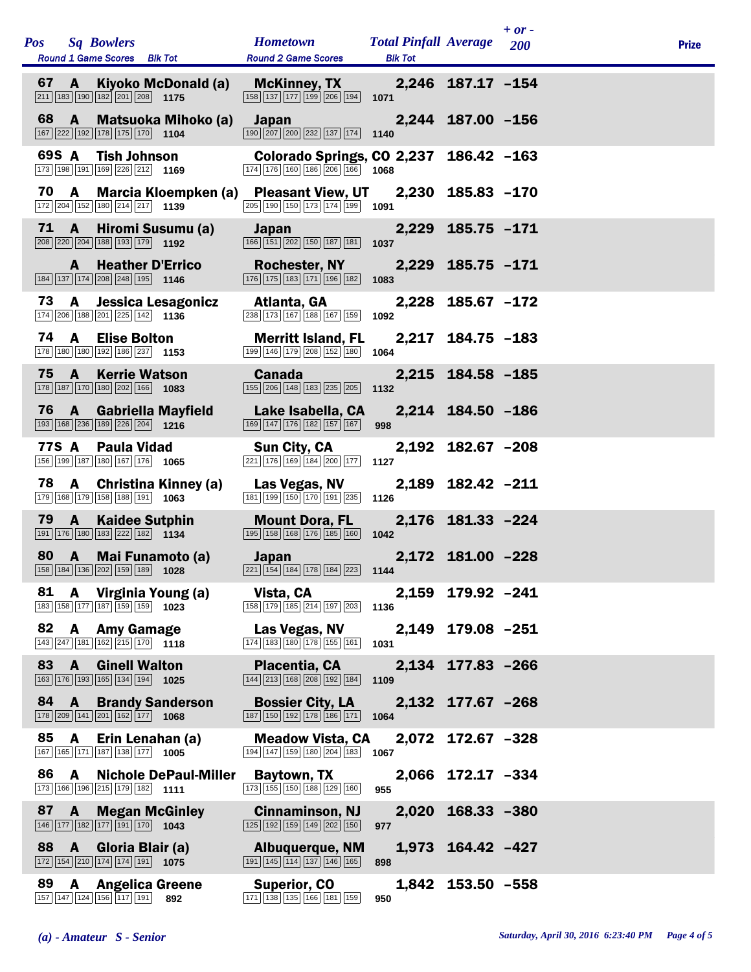|       |              | Pos Sq Bowlers<br><b>Round 1 Game Scores</b> Blk Tot                        | <b>Hometown</b><br><b>Round 2 Game Scores</b>                                                                          | <b>Total Pinfall Average</b> 200<br><b>Blk Tot</b> |                   | $+ or -$ | <b>Prize</b> |
|-------|--------------|-----------------------------------------------------------------------------|------------------------------------------------------------------------------------------------------------------------|----------------------------------------------------|-------------------|----------|--------------|
| 67 A  |              | Kiyoko McDonald (a)<br>$\boxed{211}$ 183 190 182 201 208 1175               | <b>McKinney, TX</b><br>$\boxed{158}$ $\boxed{137}$ $\boxed{177}$ $\boxed{199}$ $\boxed{206}$ $\boxed{194}$ <b>1071</b> |                                                    | 2,246 187.17 -154 |          |              |
|       |              | 68 A Matsuoka Mihoko (a)<br>167 222 192 178 175 170 1104                    | <b>Japan Marina Marina Structure</b><br>190 207 200 232 137 174                                                        | 1140                                               | 2,244 187.00 -156 |          |              |
| 69S A |              | <b>Tish Johnson</b><br>173 198 191 169 226 212 1169                         | Colorado Springs, CO 2,237 186.42 -163<br>174 176 160 186 206 166 1068                                                 |                                                    |                   |          |              |
|       |              | 70 A Marcia Kloempken (a) Pleasant View, UT<br>172 204 152 180 214 217 1139 | $\boxed{205}$ $\boxed{190}$ $\boxed{150}$ $\boxed{173}$ $\boxed{174}$ $\boxed{199}$                                    | 1091                                               | 2,230 185.83 -170 |          |              |
| 71 A  |              | Hiromi Susumu (a)<br>208 220 204 188 193 179 1192                           | Japan<br>$\boxed{166}$ $\boxed{151}$ $\boxed{202}$ $\boxed{150}$ $\boxed{187}$ $\boxed{181}$ <b>1037</b>               |                                                    | 2,229 185.75 -171 |          |              |
|       | A            | <b>Heather D'Errico</b><br>184 137 174 208 248 195 1146                     | <b>Rochester, NY</b><br>176 175 183 171 196 182                                                                        | 1083                                               | 2,229 185.75 -171 |          |              |
| 73    | A            | Jessica Lesagonicz<br>174 206 188 201 225 142 1136                          | Atlanta, GA<br>238 173 167 188 167 159                                                                                 | 1092                                               | 2,228 185.67 -172 |          |              |
|       |              | 74 A Elise Bolton<br>178 180 180 192 186 237 1153                           | <b>Merritt Island, FL</b><br>199 146 179 208 152 180                                                                   | 1064                                               | 2,217 184.75 -183 |          |              |
| 75 A  |              | <b>Kerrie Watson</b><br>178 187 170 180 202 166 1083                        | <b>Canada</b><br>155 206 148 183 235 205                                                                               | 1132                                               | 2,215 184.58 -185 |          |              |
|       |              | 76 A Gabriella Mayfield<br>193 168 236 189 226 204 1216                     | Lake Isabella, CA<br>169 147 176 182 157 167                                                                           | 998                                                | 2,214 184.50 -186 |          |              |
| 77S A |              | Paula Vidad<br>156 199 187 180 167 176 1065                                 | <b>Sun City, CA</b><br>221 176 169 184 200 177                                                                         | 1127                                               | 2,192 182.67 -208 |          |              |
| 78    | $\mathbf{A}$ | <b>Christina Kinney (a)</b><br>179 168 179 158 188 191 1063                 | Las Vegas, NV<br>$\boxed{181}$ $\boxed{199}$ $\boxed{150}$ $\boxed{170}$ $\boxed{191}$ $\boxed{235}$                   | 1126                                               | 2,189 182.42 -211 |          |              |
| 79    | A            | <b>Kaidee Sutphin</b><br>191 176 180 183 222 182 1134                       | <b>Mount Dora, FL</b><br>$\boxed{195}$ $\boxed{158}$ $\boxed{168}$ $\boxed{176}$ $\boxed{185}$ $\boxed{160}$           | 1042                                               | 2,176 181.33 -224 |          |              |
| 80    | $\mathbf{A}$ | Mai Funamoto (a)<br>158 184 136 202 159 189 1028                            | <b>Japan</b><br>221 154 184 178 184 223                                                                                | 1144                                               | 2,172 181.00 -228 |          |              |
| 81    | A            | Virginia Young (a)<br>183 158 177 187 159 159 1023                          | Vista, CA<br>158 179 185 214 197 203                                                                                   | 2,159<br>1136                                      | 179.92 -241       |          |              |
| 82    | A            | Amy Gamage<br>143 247 181 162 215 170 1118                                  | Las Vegas, NV<br>174 183 180 178 155 161                                                                               | 1031                                               | 2,149 179.08 -251 |          |              |
| 83    | A            | <b>Ginell Walton</b><br>163 176 193 165 134 194 1025                        | <b>Placentia, CA</b><br>144 213 168 208 192 184                                                                        | 2,134<br>1109                                      | 177.83 -266       |          |              |
| 84    | A            | <b>Brandy Sanderson</b><br>178 209 141 201 162 177 1068                     | <b>Bossier City, LA</b><br>187 150 192 178 186 171                                                                     | 1064                                               | 2,132 177.67 -268 |          |              |
| 85    | A            | Erin Lenahan (a)<br>167 165 171 187 138 177 1005                            | <b>Meadow Vista, CA</b><br>194 147 159 180 204 183                                                                     | 2,072<br>1067                                      | $172.67 - 328$    |          |              |
| 86    | $\mathbf{A}$ | <b>Nichole DePaul-Miller</b><br>173 166 196 215 179 182 1111                | Baytown, TX<br>$\boxed{173}$ $\boxed{155}$ $\boxed{150}$ $\boxed{188}$ $\boxed{129}$ $\boxed{160}$                     | 955                                                | 2,066 172.17 -334 |          |              |
| 87    | A            | <b>Megan McGinley</b><br>146 177 182 177 191 170 1043                       | <b>Cinnaminson, NJ</b><br>125 192 159 149 202 150                                                                      | 2,020<br>977                                       | $168.33 - 380$    |          |              |
| 88    |              | A Gloria Blair (a)<br>172 154 210 174 174 191 1075                          | Albuquerque, NM<br>191 145 114 137 146 165                                                                             | 1,973<br>898                                       | 164.42 -427       |          |              |
| 89    | A            | <b>Angelica Greene</b><br>157 147 124 156 117 191<br>892                    | <b>Superior, CO</b><br>171 138 135 166 181 159                                                                         | 950                                                | 1,842 153.50 -558 |          |              |